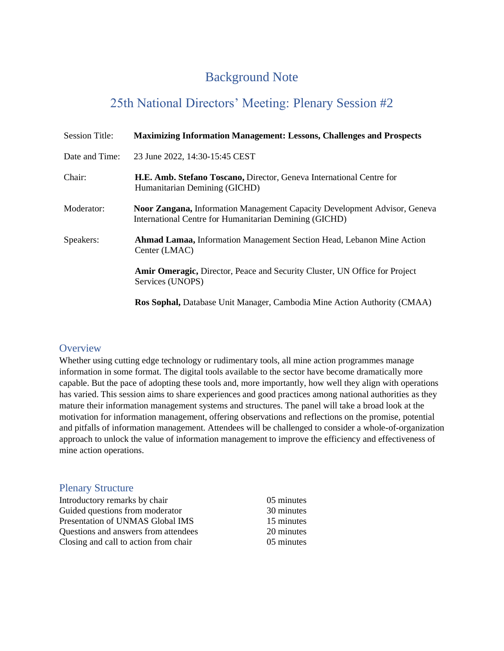# Background Note

# 25th National Directors' Meeting: Plenary Session #2

| <b>Session Title:</b> | <b>Maximizing Information Management: Lessons, Challenges and Prospects</b>                                                                |
|-----------------------|--------------------------------------------------------------------------------------------------------------------------------------------|
| Date and Time:        | 23 June 2022, 14:30-15:45 CEST                                                                                                             |
| Chair:                | H.E. Amb. Stefano Toscano, Director, Geneva International Centre for<br>Humanitarian Demining (GICHD)                                      |
| Moderator:            | <b>Noor Zangana, Information Management Capacity Development Advisor, Geneva</b><br>International Centre for Humanitarian Demining (GICHD) |
| Speakers:             | <b>Ahmad Lamaa, Information Management Section Head, Lebanon Mine Action</b><br>Center (LMAC)                                              |
|                       | <b>Amir Omeragic, Director, Peace and Security Cluster, UN Office for Project</b><br>Services (UNOPS)                                      |
|                       | Ros Sophal, Database Unit Manager, Cambodia Mine Action Authority (CMAA)                                                                   |

# **Overview**

Whether using cutting edge technology or rudimentary tools, all mine action programmes manage information in some format. The digital tools available to the sector have become dramatically more capable. But the pace of adopting these tools and, more importantly, how well they align with operations has varied. This session aims to share experiences and good practices among national authorities as they mature their information management systems and structures. The panel will take a broad look at the motivation for information management, offering observations and reflections on the promise, potential and pitfalls of information management. Attendees will be challenged to consider a whole-of-organization approach to unlock the value of information management to improve the efficiency and effectiveness of mine action operations.

## Plenary Structure

| Introductory remarks by chair         | 05 minutes |
|---------------------------------------|------------|
| Guided questions from moderator       | 30 minutes |
| Presentation of UNMAS Global IMS      | 15 minutes |
| Questions and answers from attendees  | 20 minutes |
| Closing and call to action from chair | 05 minutes |